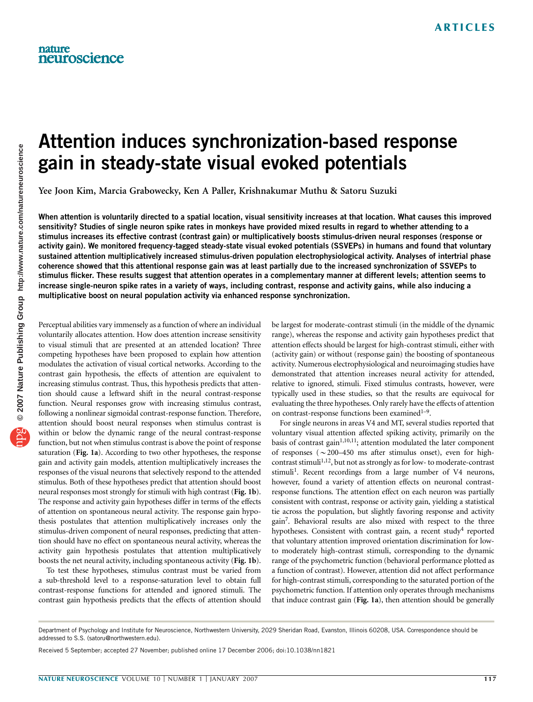# Attention induces synchronization-based response gain in steady-state visual evoked potentials

Yee Joon Kim, Marcia Grabowecky, Ken A Paller, Krishnakumar Muthu & Satoru Suzuki

When attention is voluntarily directed to a spatial location, visual sensitivity increases at that location. What causes this improved sensitivity? Studies of single neuron spike rates in monkeys have provided mixed results in regard to whether attending to a stimulus increases its effective contrast (contrast gain) or multiplicatively boosts stimulus-driven neural responses (response or activity gain). We monitored frequency-tagged steady-state visual evoked potentials (SSVEPs) in humans and found that voluntary sustained attention multiplicatively increased stimulus-driven population electrophysiological activity. Analyses of intertrial phase coherence showed that this attentional response gain was at least partially due to the increased synchronization of SSVEPs to stimulus flicker. These results suggest that attention operates in a complementary manner at different levels; attention seems to increase single-neuron spike rates in a variety of ways, including contrast, response and activity gains, while also inducing a multiplicative boost on neural population activity via enhanced response synchronization.

Perceptual abilities vary immensely as a function of where an individual voluntarily allocates attention. How does attention increase sensitivity to visual stimuli that are presented at an attended location? Three competing hypotheses have been proposed to explain how attention modulates the activation of visual cortical networks. According to the contrast gain hypothesis, the effects of attention are equivalent to increasing stimulus contrast. Thus, this hypothesis predicts that attention should cause a leftward shift in the neural contrast-response function. Neural responses grow with increasing stimulus contrast, following a nonlinear sigmoidal contrast-response function. Therefore, attention should boost neural responses when stimulus contrast is within or below the dynamic range of the neural contrast-response function, but not when stimulus contrast is above the point of response saturation (Fig. 1a). According to two other hypotheses, the response gain and activity gain models, attention multiplicatively increases the responses of the visual neurons that selectively respond to the attended stimulus. Both of these hypotheses predict that attention should boost neural responses most strongly for stimuli with high contrast (Fig. 1b). The response and activity gain hypotheses differ in terms of the effects of attention on spontaneous neural activity. The response gain hypothesis postulates that attention multiplicatively increases only the stimulus-driven component of neural responses, predicting that attention should have no effect on spontaneous neural activity, whereas the activity gain hypothesis postulates that attention multiplicatively boosts the net neural activity, including spontaneous activity (Fig. 1b).

To test these hypotheses, stimulus contrast must be varied from a sub-threshold level to a response-saturation level to obtain full contrast-response functions for attended and ignored stimuli. The contrast gain hypothesis predicts that the effects of attention should

be largest for moderate-contrast stimuli (in the middle of the dynamic range), whereas the response and activity gain hypotheses predict that attention effects should be largest for high-contrast stimuli, either with (activity gain) or without (response gain) the boosting of spontaneous activity. Numerous electrophysiological and neuroimaging studies have demonstrated that attention increases neural activity for attended, relative to ignored, stimuli. Fixed stimulus contrasts, however, were typically used in these studies, so that the results are equivocal for evaluating the three hypotheses. Only rarely have the effects of attention on contrast-response functions been examined<sup>1-9</sup>.

For single neurons in areas V4 and MT, several studies reported that voluntary visual attention affected spiking activity, primarily on the basis of contrast gain<sup>1,10,11</sup>; attention modulated the later component of responses ( $\sim$ 200–450 ms after stimulus onset), even for highcontrast stimuli<sup>1,12</sup>, but not as strongly as for low- to moderate-contrast stimuli<sup>1</sup>. Recent recordings from a large number of V4 neurons, however, found a variety of attention effects on neuronal contrastresponse functions. The attention effect on each neuron was partially consistent with contrast, response or activity gain, yielding a statistical tie across the population, but slightly favoring response and activity gain7. Behavioral results are also mixed with respect to the three hypotheses. Consistent with contrast gain, a recent study<sup>4</sup> reported that voluntary attention improved orientation discrimination for lowto moderately high-contrast stimuli, corresponding to the dynamic range of the psychometric function (behavioral performance plotted as a function of contrast). However, attention did not affect performance for high-contrast stimuli, corresponding to the saturated portion of the psychometric function. If attention only operates through mechanisms that induce contrast gain (Fig. 1a), then attention should be generally

Department of Psychology and Institute for Neuroscience, Northwestern University, 2029 Sheridan Road, Evanston, Illinois 60208, USA. Correspondence should be addressed to S.S. (satoru@northwestern.edu).

Received 5 September; accepted 27 November; published online 17 December 2006; doi:10.1038/nn1821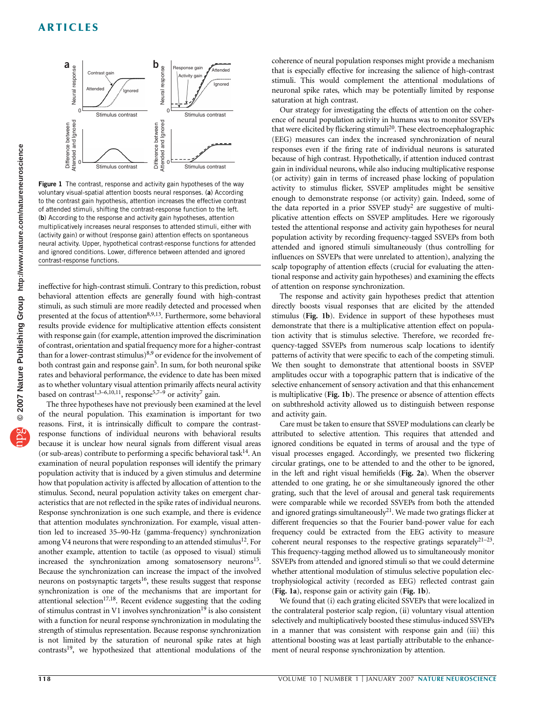

Figure 1 The contrast, response and activity gain hypotheses of the way voluntary visual-spatial attention boosts neural responses. (a) According to the contrast gain hypothesis, attention increases the effective contrast of attended stimuli, shifting the contrast-response function to the left. (b) According to the response and activity gain hypotheses, attention multiplicatively increases neural responses to attended stimuli, either with (activity gain) or without (response gain) attention effects on spontaneous neural activity. Upper, hypothetical contrast-response functions for attended and ignored conditions. Lower, difference between attended and ignored contrast-response functions.

ineffective for high-contrast stimuli. Contrary to this prediction, robust behavioral attention effects are generally found with high-contrast stimuli, as such stimuli are more readily detected and processed when presented at the focus of attention<sup>8,9,13</sup>. Furthermore, some behavioral results provide evidence for multiplicative attention effects consistent with response gain (for example, attention improved the discrimination of contrast, orientation and spatial frequency more for a higher-contrast than for a lower-contrast stimulus)<sup>8,9</sup> or evidence for the involvement of both contrast gain and response gain<sup>5</sup>. In sum, for both neuronal spike rates and behavioral performance, the evidence to date has been mixed as to whether voluntary visual attention primarily affects neural activity based on contrast<sup>1,3–6,10,11</sup>, response<sup>5,7–9</sup> or activity<sup>7</sup> gain.

The three hypotheses have not previously been examined at the level of the neural population. This examination is important for two reasons. First, it is intrinsically difficult to compare the contrastresponse functions of individual neurons with behavioral results because it is unclear how neural signals from different visual areas (or sub-areas) contribute to performing a specific behavioral task<sup>14</sup>. An examination of neural population responses will identify the primary population activity that is induced by a given stimulus and determine how that population activity is affected by allocation of attention to the stimulus. Second, neural population activity takes on emergent characteristics that are not reflected in the spike rates of individual neurons. Response synchronization is one such example, and there is evidence that attention modulates synchronization. For example, visual attention led to increased 35–90-Hz (gamma-frequency) synchronization among V4 neurons that were responding to an attended stimulus<sup>12</sup>. For another example, attention to tactile (as opposed to visual) stimuli increased the synchronization among somatosensory neurons<sup>15</sup>. Because the synchronization can increase the impact of the involved neurons on postsynaptic targets<sup>16</sup>, these results suggest that response synchronization is one of the mechanisms that are important for attentional selection<sup>17,18</sup>. Recent evidence suggesting that the coding of stimulus contrast in V1 involves synchronization<sup>19</sup> is also consistent with a function for neural response synchronization in modulating the strength of stimulus representation. Because response synchronization is not limited by the saturation of neuronal spike rates at high contrasts<sup>19</sup>, we hypothesized that attentional modulations of the

coherence of neural population responses might provide a mechanism that is especially effective for increasing the salience of high-contrast stimuli. This would complement the attentional modulations of neuronal spike rates, which may be potentially limited by response saturation at high contrast.

Our strategy for investigating the effects of attention on the coherence of neural population activity in humans was to monitor SSVEPs that were elicited by flickering stimuli<sup>20</sup>. These electroencephalographic (EEG) measures can index the increased synchronization of neural responses even if the firing rate of individual neurons is saturated because of high contrast. Hypothetically, if attention induced contrast gain in individual neurons, while also inducing multiplicative response (or activity) gain in terms of increased phase locking of population activity to stimulus flicker, SSVEP amplitudes might be sensitive enough to demonstrate response (or activity) gain. Indeed, some of the data reported in a prior SSVEP study<sup>2</sup> are suggestive of multiplicative attention effects on SSVEP amplitudes. Here we rigorously tested the attentional response and activity gain hypotheses for neural population activity by recording frequency-tagged SSVEPs from both attended and ignored stimuli simultaneously (thus controlling for influences on SSVEPs that were unrelated to attention), analyzing the scalp topography of attention effects (crucial for evaluating the attentional response and activity gain hypotheses) and examining the effects of attention on response synchronization.

The response and activity gain hypotheses predict that attention directly boosts visual responses that are elicited by the attended stimulus (Fig. 1b). Evidence in support of these hypotheses must demonstrate that there is a multiplicative attention effect on population activity that is stimulus selective. Therefore, we recorded frequency-tagged SSVEPs from numerous scalp locations to identify patterns of activity that were specific to each of the competing stimuli. We then sought to demonstrate that attentional boosts in SSVEP amplitudes occur with a topographic pattern that is indicative of the selective enhancement of sensory activation and that this enhancement is multiplicative (Fig. 1b). The presence or absence of attention effects on subthreshold activity allowed us to distinguish between response and activity gain.

Care must be taken to ensure that SSVEP modulations can clearly be attributed to selective attention. This requires that attended and ignored conditions be equated in terms of arousal and the type of visual processes engaged. Accordingly, we presented two flickering circular gratings, one to be attended to and the other to be ignored, in the left and right visual hemifields (Fig. 2a). When the observer attended to one grating, he or she simultaneously ignored the other grating, such that the level of arousal and general task requirements were comparable while we recorded SSVEPs from both the attended and ignored gratings simultaneously<sup>21</sup>. We made two gratings flicker at different frequencies so that the Fourier band-power value for each frequency could be extracted from the EEG activity to measure coherent neural responses to the respective gratings separately $21-23$ . This frequency-tagging method allowed us to simultaneously monitor SSVEPs from attended and ignored stimuli so that we could determine whether attentional modulation of stimulus selective population electrophysiological activity (recorded as EEG) reflected contrast gain (Fig. 1a), response gain or activity gain (Fig. 1b).

We found that (i) each grating elicited SSVEPs that were localized in the contralateral posterior scalp region, (ii) voluntary visual attention selectively and multiplicatively boosted these stimulus-induced SSVEPs in a manner that was consistent with response gain and (iii) this attentional boosting was at least partially attributable to the enhancement of neural response synchronization by attention.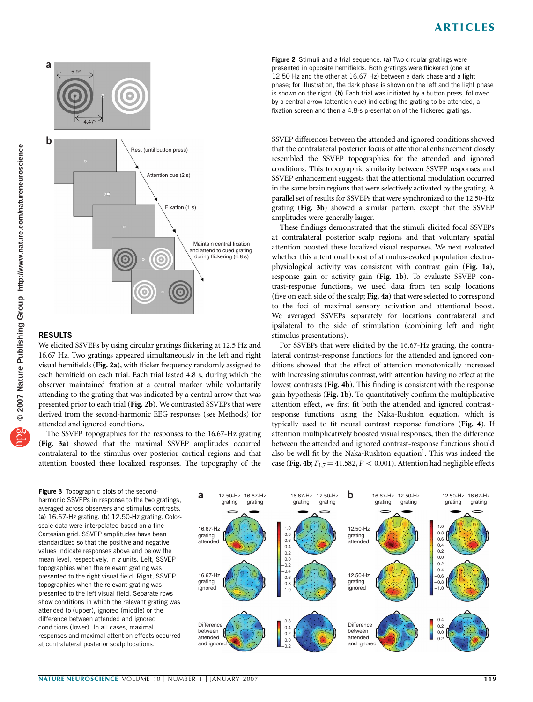

## RESULTS

We elicited SSVEPs by using circular gratings flickering at 12.5 Hz and 16.67 Hz. Two gratings appeared simultaneously in the left and right visual hemifields (Fig. 2a), with flicker frequency randomly assigned to each hemifield on each trial. Each trial lasted 4.8 s, during which the observer maintained fixation at a central marker while voluntarily attending to the grating that was indicated by a central arrow that was presented prior to each trial (Fig. 2b). We contrasted SSVEPs that were derived from the second-harmonic EEG responses (see Methods) for attended and ignored conditions.

The SSVEP topographies for the responses to the 16.67-Hz grating (Fig. 3a) showed that the maximal SSVEP amplitudes occurred contralateral to the stimulus over posterior cortical regions and that attention boosted these localized responses. The topography of the

Figure 3 Topographic plots of the secondharmonic SSVEPs in response to the two gratings, averaged across observers and stimulus contrasts. (a) 16.67-Hz grating. (b) 12.50-Hz grating. Colorscale data were interpolated based on a fine Cartesian grid. SSVEP amplitudes have been standardized so that the positive and negative values indicate responses above and below the mean level, respectively, in z units. Left, SSVEP topographies when the relevant grating was presented to the right visual field. Right, SSVEP topographies when the relevant grating was presented to the left visual field. Separate rows show conditions in which the relevant grating was attended to (upper), ignored (middle) or the difference between attended and ignored conditions (lower). In all cases, maximal responses and maximal attention effects occurred at contralateral posterior scalp locations.



SSVEP differences between the attended and ignored conditions showed that the contralateral posterior focus of attentional enhancement closely resembled the SSVEP topographies for the attended and ignored conditions. This topographic similarity between SSVEP responses and SSVEP enhancement suggests that the attentional modulation occurred in the same brain regions that were selectively activated by the grating. A parallel set of results for SSVEPs that were synchronized to the 12.50-Hz grating (Fig. 3b) showed a similar pattern, except that the SSVEP amplitudes were generally larger.

These findings demonstrated that the stimuli elicited focal SSVEPs at contralateral posterior scalp regions and that voluntary spatial attention boosted these localized visual responses. We next evaluated whether this attentional boost of stimulus-evoked population electrophysiological activity was consistent with contrast gain (Fig. 1a), response gain or activity gain (Fig. 1b). To evaluate SSVEP contrast-response functions, we used data from ten scalp locations (five on each side of the scalp; Fig. 4a) that were selected to correspond to the foci of maximal sensory activation and attentional boost. We averaged SSVEPs separately for locations contralateral and ipsilateral to the side of stimulation (combining left and right stimulus presentations).

For SSVEPs that were elicited by the 16.67-Hz grating, the contralateral contrast-response functions for the attended and ignored conditions showed that the effect of attention monotonically increased with increasing stimulus contrast, with attention having no effect at the lowest contrasts (Fig. 4b). This finding is consistent with the response gain hypothesis (Fig. 1b). To quantitatively confirm the multiplicative attention effect, we first fit both the attended and ignored contrastresponse functions using the Naka-Rushton equation, which is typically used to fit neural contrast response functions (Fig. 4). If attention multiplicatively boosted visual responses, then the difference between the attended and ignored contrast-response functions should also be well fit by the Naka-Rushton equation<sup>1</sup>. This was indeed the case (Fig. 4b;  $F_{1,7} = 41.582$ ,  $P < 0.001$ ). Attention had negligible effects

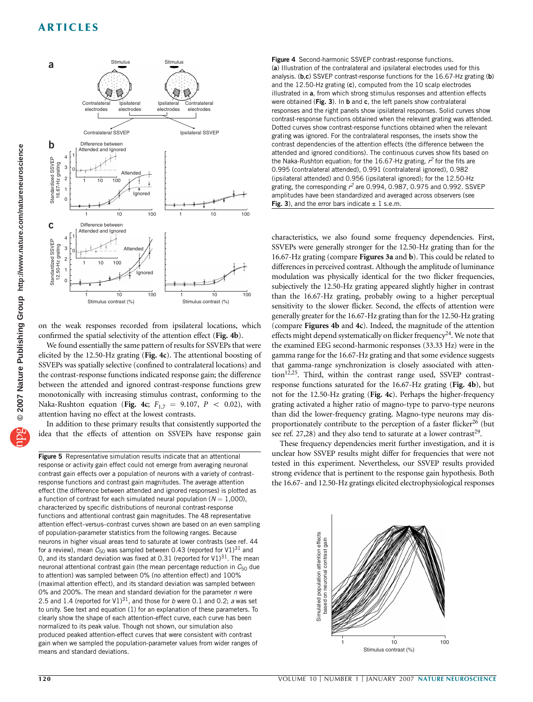

on the weak responses recorded from ipsilateral locations, which confirmed the spatial selectivity of the attention effect (Fig. 4b).

We found essentially the same pattern of results for SSVEPs that were elicited by the 12.50-Hz grating (Fig. 4c). The attentional boosting of SSVEPs was spatially selective (confined to contralateral locations) and the contrast-response functions indicated response gain; the difference between the attended and ignored contrast-response functions grew monotonically with increasing stimulus contrast, conforming to the Naka-Rushton equation (Fig. 4c;  $F_{1,7} = 9.107$ ,  $P < 0.02$ ), with attention having no effect at the lowest contrasts.

In addition to these primary results that consistently supported the idea that the effects of attention on SSVEPs have response gain

Figure 5 Representative simulation results indicate that an attentional response or activity gain effect could not emerge from averaging neuronal contrast gain effects over a population of neurons with a variety of contrastresponse functions and contrast gain magnitudes. The average attention effect (the difference between attended and ignored responses) is plotted as a function of contrast for each simulated neural population ( $N = 1,000$ ), characterized by specific distributions of neuronal contrast-response functions and attentional contrast gain magnitudes. The 48 representative attention effect–versus–contrast curves shown are based on an even sampling of population-parameter statistics from the following ranges. Because neurons in higher visual areas tend to saturate at lower contrasts (see ref. 44 for a review), mean  $C_{50}$  was sampled between 0.43 (reported for V1)<sup>31</sup> and 0, and its standard deviation was fixed at 0.31 (reported for  $V1$ )<sup>31</sup>. The mean neuronal attentional contrast gain (the mean percentage reduction in  $C_{50}$  due to attention) was sampled between 0% (no attention effect) and 100% (maximal attention effect), and its standard deviation was sampled between 0% and 200%. The mean and standard deviation for the parameter  $n$  were 2.5 and 1.4 (reported for V1)<sup>31</sup>, and those for b were 0.1 and 0.2; a was set to unity. See text and equation (1) for an explanation of these parameters. To clearly show the shape of each attention-effect curve, each curve has been normalized to its peak value. Though not shown, our simulation also produced peaked attention-effect curves that were consistent with contrast gain when we sampled the population-parameter values from wider ranges of means and standard deviations.

Figure 4 Second-harmonic SSVEP contrast-response functions. (a) Illustration of the contralateral and ipsilateral electrodes used for this analysis. (b,c) SSVEP contrast-response functions for the 16.67-Hz grating (b) and the 12.50-Hz grating (c), computed from the 10 scalp electrodes illustrated in a, from which strong stimulus responses and attention effects were obtained ( $Fig. 3$ ). In b and  $c$ , the left panels show contralateral responses and the right panels show ipsilateral responses. Solid curves show contrast-response functions obtained when the relevant grating was attended. Dotted curves show contrast-response functions obtained when the relevant grating was ignored. For the contralateral responses, the insets show the contrast dependencies of the attention effects (the difference between the attended and ignored conditions). The continuous curves show fits based on the Naka-Rushton equation; for the 16.67-Hz grating,  $r^2$  for the fits are 0.995 (contralateral attended), 0.991 (contralateral ignored), 0.982 (ipsilateral attended) and 0.956 (ipsilateral ignored); for the 12.50-Hz grating, the corresponding  $r^2$  are 0.994, 0.987, 0.975 and 0.992. SSVEP amplitudes have been standardized and averaged across observers (see Fig. 3), and the error bars indicate  $\pm$  1 s.e.m.

characteristics, we also found some frequency dependencies. First, SSVEPs were generally stronger for the 12.50-Hz grating than for the 16.67-Hz grating (compare Figures 3a and b). This could be related to differences in perceived contrast. Although the amplitude of luminance modulation was physically identical for the two flicker frequencies, subjectively the 12.50-Hz grating appeared slightly higher in contrast than the 16.67-Hz grating, probably owing to a higher perceptual sensitivity to the slower flicker. Second, the effects of attention were generally greater for the 16.67-Hz grating than for the 12.50-Hz grating (compare Figures 4b and 4c). Indeed, the magnitude of the attention effects might depend systematically on flicker frequency<sup>24</sup>. We note that the examined EEG second-harmonic responses (33.33 Hz) were in the gamma range for the 16.67-Hz grating and that some evidence suggests that gamma-range synchronization is closely associated with attention<sup>12,25</sup>. Third, within the contrast range used, SSVEP contrastresponse functions saturated for the 16.67-Hz grating (Fig. 4b), but not for the 12.50-Hz grating (Fig. 4c). Perhaps the higher-frequency grating activated a higher ratio of magno-type to parvo-type neurons than did the lower-frequency grating. Magno-type neurons may disproportionately contribute to the perception of a faster flicker<sup>26</sup> (but see ref. 27,28) and they also tend to saturate at a lower contrast<sup>29</sup>.

These frequency dependencies merit further investigation, and it is unclear how SSVEP results might differ for frequencies that were not tested in this experiment. Nevertheless, our SSVEP results provided strong evidence that is pertinent to the response gain hypothesis. Both the 16.67- and 12.50-Hz gratings elicited electrophysiological responses

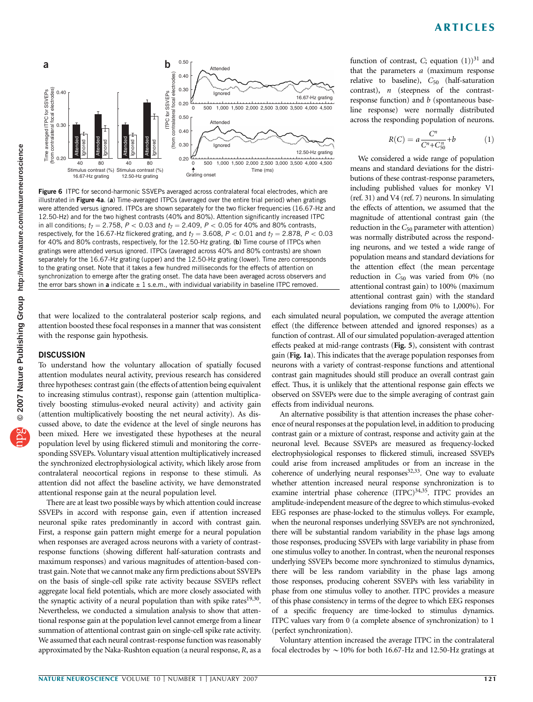## ARTICLES



Figure 6 ITPC for second-harmonic SSVEPs averaged across contralateral focal electrodes, which are illustrated in Figure 4a. (a) Time-averaged ITPCs (averaged over the entire trial period) when gratings were attended versus ignored. ITPCs are shown separately for the two flicker frequencies (16.67-Hz and 12.50-Hz) and for the two highest contrasts (40% and 80%). Attention significantly increased ITPC in all conditions;  $t_7 = 2.758$ ,  $P < 0.03$  and  $t_7 = 2.409$ ,  $P < 0.05$  for 40% and 80% contrasts, respectively, for the 16.67-Hz flickered grating, and  $t_7 = 3.608$ ,  $P < 0.01$  and  $t_7 = 2.878$ ,  $P < 0.03$ for 40% and 80% contrasts, respectively, for the 12.50-Hz grating. (b) Time course of ITPCs when gratings were attended versus ignored. ITPCs (averaged across 40% and 80% contrasts) are shown separately for the 16.67-Hz grating (upper) and the 12.50-Hz grating (lower). Time zero corresponds to the grating onset. Note that it takes a few hundred milliseconds for the effects of attention on synchronization to emerge after the grating onset. The data have been averaged across observers and the error bars shown in a indicate  $\pm$  1 s.e.m., with individual variability in baseline ITPC removed.

that were localized to the contralateral posterior scalp regions, and attention boosted these focal responses in a manner that was consistent with the response gain hypothesis.

#### **DISCUSSION**

To understand how the voluntary allocation of spatially focused attention modulates neural activity, previous research has considered three hypotheses: contrast gain (the effects of attention being equivalent to increasing stimulus contrast), response gain (attention multiplicatively boosting stimulus-evoked neural activity) and activity gain (attention multiplicatively boosting the net neural activity). As discussed above, to date the evidence at the level of single neurons has been mixed. Here we investigated these hypotheses at the neural population level by using flickered stimuli and monitoring the corresponding SSVEPs. Voluntary visual attention multiplicatively increased the synchronized electrophysiological activity, which likely arose from contralateral neocortical regions in response to these stimuli. As attention did not affect the baseline activity, we have demonstrated attentional response gain at the neural population level.

There are at least two possible ways by which attention could increase SSVEPs in accord with response gain, even if attention increased neuronal spike rates predominantly in accord with contrast gain. First, a response gain pattern might emerge for a neural population when responses are averaged across neurons with a variety of contrastresponse functions (showing different half-saturation contrasts and maximum responses) and various magnitudes of attention-based contrast gain. Note that we cannot make any firm predictions about SSVEPs on the basis of single-cell spike rate activity because SSVEPs reflect aggregate local field potentials, which are more closely associated with the synaptic activity of a neural population than with spike rates $19,30$ . Nevertheless, we conducted a simulation analysis to show that attentional response gain at the population level cannot emerge from a linear summation of attentional contrast gain on single-cell spike rate activity. We assumed that each neural contrast-response function was reasonably approximated by the Naka-Rushton equation (a neural response,  $R$ , as a

function of contrast, C; equation  $(1)$ <sup>31</sup> and that the parameters  $a$  (maximum response relative to baseline),  $C_{50}$  (half-saturation contrast), n (steepness of the contrastresponse function) and  $b$  (spontaneous baseline response) were normally distributed across the responding population of neurons.

$$
R(C) = a \frac{C^n}{C^n + C_{50}^n} + b \tag{1}
$$

We considered a wide range of population means and standard deviations for the distributions of these contrast-response parameters, including published values for monkey V1 (ref. 31) and V4 (ref. 7) neurons. In simulating the effects of attention, we assumed that the magnitude of attentional contrast gain (the reduction in the  $C_{50}$  parameter with attention) was normally distributed across the responding neurons, and we tested a wide range of population means and standard deviations for the attention effect (the mean percentage reduction in  $C_{50}$  was varied from 0% (no attentional contrast gain) to 100% (maximum attentional contrast gain) with the standard deviations ranging from 0% to 1,000%). For

each simulated neural population, we computed the average attention effect (the difference between attended and ignored responses) as a function of contrast. All of our simulated population-averaged attention effects peaked at mid-range contrasts (Fig. 5), consistent with contrast gain (Fig. 1a). This indicates that the average population responses from neurons with a variety of contrast-response functions and attentional contrast gain magnitudes should still produce an overall contrast gain effect. Thus, it is unlikely that the attentional response gain effects we observed on SSVEPs were due to the simple averaging of contrast gain effects from individual neurons.

An alternative possibility is that attention increases the phase coherence of neural responses at the population level, in addition to producing contrast gain or a mixture of contrast, response and activity gain at the neuronal level. Because SSVEPs are measured as frequency-locked electrophysiological responses to flickered stimuli, increased SSVEPs could arise from increased amplitudes or from an increase in the coherence of underlying neural responses $32,33$ . One way to evaluate whether attention increased neural response synchronization is to examine intertrial phase coherence (ITPC)<sup>34,35</sup>. ITPC provides an amplitude-independent measure of the degree to which stimulus-evoked EEG responses are phase-locked to the stimulus volleys. For example, when the neuronal responses underlying SSVEPs are not synchronized, there will be substantial random variability in the phase lags among those responses, producing SSVEPs with large variability in phase from one stimulus volley to another. In contrast, when the neuronal responses underlying SSVEPs become more synchronized to stimulus dynamics, there will be less random variability in the phase lags among those responses, producing coherent SSVEPs with less variability in phase from one stimulus volley to another. ITPC provides a measure of this phase consistency in terms of the degree to which EEG responses of a specific frequency are time-locked to stimulus dynamics. ITPC values vary from 0 (a complete absence of synchronization) to 1 (perfect synchronization).

Voluntary attention increased the average ITPC in the contralateral focal electrodes by  $\sim$  10% for both 16.67-Hz and 12.50-Hz gratings at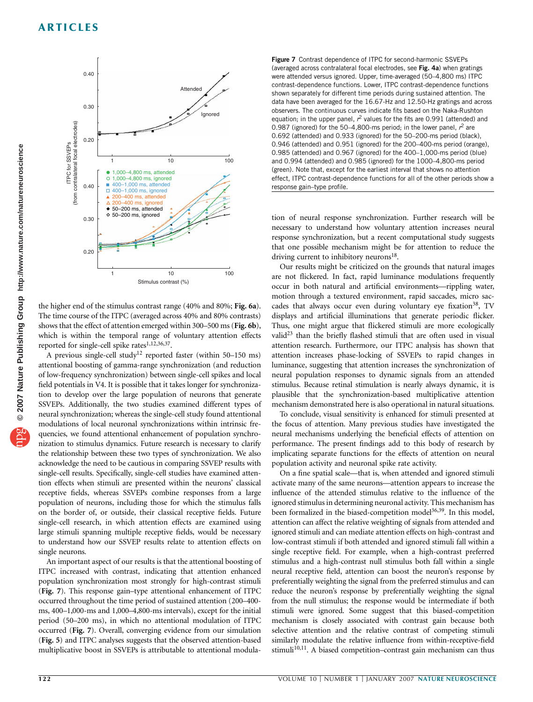## ARTICLES



the higher end of the stimulus contrast range (40% and 80%; Fig. 6a). The time course of the ITPC (averaged across 40% and 80% contrasts) shows that the effect of attention emerged within 300–500 ms (Fig. 6b), which is within the temporal range of voluntary attention effects reported for single-cell spike rates<sup>1,12,36,37</sup>.

A previous single-cell study<sup>12</sup> reported faster (within 50-150 ms) attentional boosting of gamma-range synchronization (and reduction of low-frequency synchronization) between single-cell spikes and local field potentials in V4. It is possible that it takes longer for synchronization to develop over the large population of neurons that generate SSVEPs. Additionally, the two studies examined different types of neural synchronization; whereas the single-cell study found attentional modulations of local neuronal synchronizations within intrinsic frequencies, we found attentional enhancement of population synchronization to stimulus dynamics. Future research is necessary to clarify the relationship between these two types of synchronization. We also acknowledge the need to be cautious in comparing SSVEP results with single-cell results. Specifically, single-cell studies have examined attention effects when stimuli are presented within the neurons' classical receptive fields, whereas SSVEPs combine responses from a large population of neurons, including those for which the stimulus falls on the border of, or outside, their classical receptive fields. Future single-cell research, in which attention effects are examined using large stimuli spanning multiple receptive fields, would be necessary to understand how our SSVEP results relate to attention effects on single neurons.

An important aspect of our results is that the attentional boosting of ITPC increased with contrast, indicating that attention enhanced population synchronization most strongly for high-contrast stimuli (Fig. 7). This response gain–type attentional enhancement of ITPC occurred throughout the time period of sustained attention (200–400 ms, 400–1,000-ms and 1,000–4,800-ms intervals), except for the initial period (50–200 ms), in which no attentional modulation of ITPC occurred (Fig. 7). Overall, converging evidence from our simulation (Fig. 5) and ITPC analyses suggests that the observed attention-based multiplicative boost in SSVEPs is attributable to attentional modula-

Figure 7 Contrast dependence of ITPC for second-harmonic SSVEPs (averaged across contralateral focal electrodes, see Fig. 4a) when gratings were attended versus ignored. Upper, time-averaged (50–4,800 ms) ITPC contrast-dependence functions. Lower, ITPC contrast-dependence functions shown separately for different time periods during sustained attention. The data have been averaged for the 16.67-Hz and 12.50-Hz gratings and across observers. The continuous curves indicate fits based on the Naka-Rushton equation; in the upper panel,  $r^2$  values for the fits are 0.991 (attended) and 0.987 (ignored) for the 50–4,800-ms period; in the lower panel,  $r^2$  are 0.692 (attended) and 0.933 (ignored) for the 50–200-ms period (black), 0.946 (attended) and 0.951 (ignored) for the 200–400-ms period (orange), 0.985 (attended) and 0.967 (ignored) for the 400–1,000-ms period (blue) and 0.994 (attended) and 0.985 (ignored) for the 1000–4,800-ms period (green). Note that, except for the earliest interval that shows no attention effect, ITPC contrast-dependence functions for all of the other periods show a response gain–type profile.

tion of neural response synchronization. Further research will be necessary to understand how voluntary attention increases neural response synchronization, but a recent computational study suggests that one possible mechanism might be for attention to reduce the driving current to inhibitory neurons<sup>18</sup>.

Our results might be criticized on the grounds that natural images are not flickered. In fact, rapid luminance modulations frequently occur in both natural and artificial environments—rippling water, motion through a textured environment, rapid saccades, micro saccades that always occur even during voluntary eye fixation<sup>38</sup>, TV displays and artificial illuminations that generate periodic flicker. Thus, one might argue that flickered stimuli are more ecologically valid<sup>23</sup> than the briefly flashed stimuli that are often used in visual attention research. Furthermore, our ITPC analysis has shown that attention increases phase-locking of SSVEPs to rapid changes in luminance, suggesting that attention increases the synchronization of neural population responses to dynamic signals from an attended stimulus. Because retinal stimulation is nearly always dynamic, it is plausible that the synchronization-based multiplicative attention mechanism demonstrated here is also operational in natural situations.

To conclude, visual sensitivity is enhanced for stimuli presented at the focus of attention. Many previous studies have investigated the neural mechanisms underlying the beneficial effects of attention on performance. The present findings add to this body of research by implicating separate functions for the effects of attention on neural population activity and neuronal spike rate activity.

On a fine spatial scale—that is, when attended and ignored stimuli activate many of the same neurons—attention appears to increase the influence of the attended stimulus relative to the influence of the ignored stimulus in determining neuronal activity. This mechanism has been formalized in the biased-competition model<sup>36,39</sup>. In this model, attention can affect the relative weighting of signals from attended and ignored stimuli and can mediate attention effects on high-contrast and low-contrast stimuli if both attended and ignored stimuli fall within a single receptive field. For example, when a high-contrast preferred stimulus and a high-contrast null stimulus both fall within a single neural receptive field, attention can boost the neuron's response by preferentially weighting the signal from the preferred stimulus and can reduce the neuron's response by preferentially weighting the signal from the null stimulus; the response would be intermediate if both stimuli were ignored. Some suggest that this biased-competition mechanism is closely associated with contrast gain because both selective attention and the relative contrast of competing stimuli similarly modulate the relative influence from within-receptive-field stimuli<sup>10,11</sup>. A biased competition–contrast gain mechanism can thus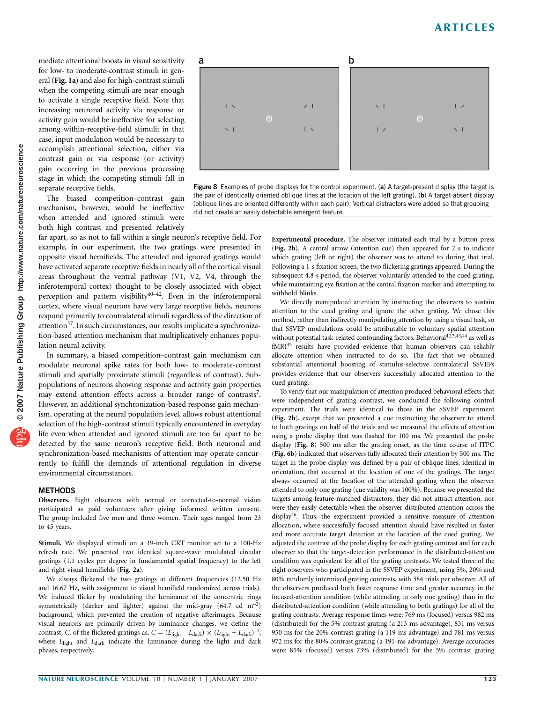mediate attentional boosts in visual sensitivity for low- to moderate-contrast stimuli in general (Fig. 1a) and also for high-contrast stimuli when the competing stimuli are near enough to activate a single receptive field. Note that increasing neuronal activity via response or activity gain would be ineffective for selecting among within-receptive-field stimuli; in that case, input modulation would be necessary to accomplish attentional selection, either via contrast gain or via response (or activity) gain occurring in the previous processing stage in which the competing stimuli fall in separate receptive fields.

The biased competition–contrast gain mechanism, however, would be ineffective when attended and ignored stimuli were both high contrast and presented relatively

far apart, so as not to fall within a single neuron's receptive field. For example, in our experiment, the two gratings were presented in opposite visual hemifields. The attended and ignored gratings would have activated separate receptive fields in nearly all of the cortical visual areas throughout the ventral pathway (V1, V2, V4, through the inferotemporal cortex) thought to be closely associated with object perception and pattern visibility $40-42$ . Even in the inferotemporal cortex, where visual neurons have very large receptive fields, neurons respond primarily to contralateral stimuli regardless of the direction of attention<sup>37</sup>. In such circumstances, our results implicate a synchronization-based attention mechanism that multiplicatively enhances population neural activity.

In summary, a biased competition–contrast gain mechanism can modulate neuronal spike rates for both low- to moderate-contrast stimuli and spatially proximate stimuli (regardless of contrast). Subpopulations of neurons showing response and activity gain properties may extend attention effects across a broader range of contrasts<sup>7</sup>. However, an additional synchronization-based response gain mechanism, operating at the neural population level, allows robust attentional selection of the high-contrast stimuli typically encountered in everyday life even when attended and ignored stimuli are too far apart to be detected by the same neuron's receptive field. Both neuronal and synchronization-based mechanisms of attention may operate concurrently to fulfill the demands of attentional regulation in diverse environmental circumstances.

### **METHODS**

Observers. Eight observers with normal or corrected-to-normal vision participated as paid volunteers after giving informed written consent. The group included five men and three women. Their ages ranged from 23 to 45 years.

Stimuli. We displayed stimuli on a 19-inch CRT monitor set to a 100-Hz refresh rate. We presented two identical square-wave modulated circular gratings (1.1 cycles per degree in fundamental spatial frequency) to the left and right visual hemifields (Fig. 2a).

We always flickered the two gratings at different frequencies (12.50 Hz and 16.67 Hz, with assignment to visual hemifield randomized across trials). We induced flicker by modulating the luminance of the concentric rings symmetrically (darker and lighter) against the mid-gray (64.7 cd  $m^{-2}$ ) background, which prevented the creation of negative afterimages. Because visual neurons are primarily driven by luminance changes, we define the contrast, C, of the flickered gratings as,  $C = (L_{\text{light}} - L_{\text{dark}}) \times (L_{\text{light}} + L_{\text{dark}})^{-1}$ , where  $L_{\text{light}}$  and  $L_{\text{dark}}$  indicate the luminance during the light and dark phases, respectively.



Figure 8 Examples of probe displays for the control experiment. (a) A target-present display (the target is the pair of identically oriented oblique lines at the location of the left grating). (b) A target-absent display (oblique lines are oriented differently within each pair). Vertical distractors were added so that grouping did not create an easily detectable emergent feature.

> Experimental procedure. The observer initiated each trial by a button press (Fig. 2b). A central arrow (attention cue) then appeared for 2 s to indicate which grating (left or right) the observer was to attend to during that trial. Following a 1-s fixation screen, the two flickering gratings appeared. During the subsequent 4.8-s period, the observer voluntarily attended to the cued grating, while maintaining eye fixation at the central fixation marker and attempting to withhold blinks.

> We directly manipulated attention by instructing the observers to sustain attention to the cued grating and ignore the other grating. We chose this method, rather than indirectly manipulating attention by using a visual task, so that SSVEP modulations could be attributable to voluntary spatial attention without potential task-related confounding factors. Behavioral<sup>4,13,43,44</sup> as well as fMRI45 results have provided evidence that human observers can reliably allocate attention when instructed to do so. The fact that we obtained substantial attentional boosting of stimulus-selective contralateral SSVEPs provides evidence that our observers successfully allocated attention to the cued grating.

> To verify that our manipulation of attention produced behavioral effects that were independent of grating contrast, we conducted the following control experiment. The trials were identical to those in the SSVEP experiment (Fig. 2b), except that we presented a cue instructing the observer to attend to both gratings on half of the trials and we measured the effects of attention using a probe display that was flashed for 100 ms. We presented the probe display (Fig. 8) 500 ms after the grating onset, as the time course of ITPC (Fig. 6b) indicated that observers fully allocated their attention by 500 ms. The target in the probe display was defined by a pair of oblique lines, identical in orientation, that occurred at the location of one of the gratings. The target always occurred at the location of the attended grating when the observer attended to only one grating (cue validity was 100%). Because we presented the targets among feature-matched distractors, they did not attract attention, nor were they easily detectable when the observer distributed attention across the display46. Thus, the experiment provided a sensitive measure of attention allocation, where successfully focused attention should have resulted in faster and more accurate target detection at the location of the cued grating. We adjusted the contrast of the probe display for each grating contrast and for each observer so that the target-detection performance in the distributed-attention condition was equivalent for all of the grating contrasts. We tested three of the eight observers who participated in the SSVEP experiment, using 5%, 20% and 80% randomly intermixed grating contrasts, with 384 trials per observer. All of the observers produced both faster response time and greater accuracy in the focused-attention condition (while attending to only one grating) than in the distributed-attention condition (while attending to both gratings) for all of the grating contrasts. Average response times were: 769 ms (focused) versus 982 ms (distributed) for the 5% contrast grating (a 213-ms advantage), 831 ms versus 950 ms for the 20% contrast grating (a 119-ms advantage) and 781 ms versus 972 ms for the 80% contrast grating (a 191-ms advantage). Average accuracies were: 85% (focused) versus 73% (distributed) for the 5% contrast grating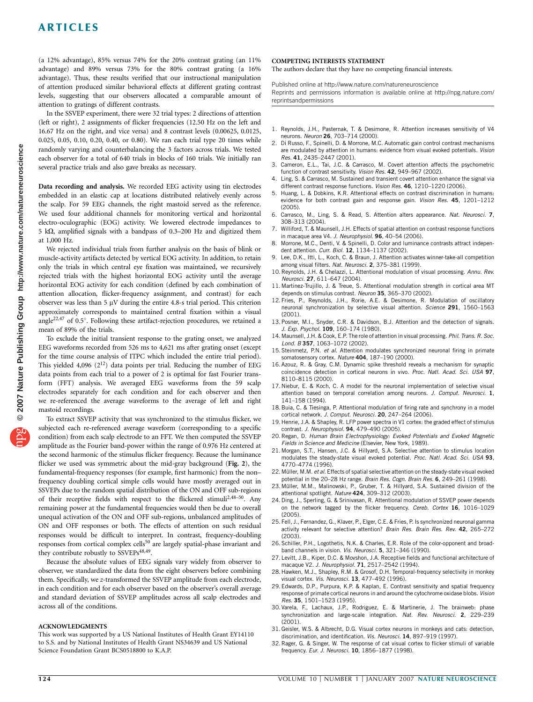## ARTICLES

(a 12% advantage), 85% versus 74% for the 20% contrast grating (an 11% advantage) and 89% versus 73% for the 80% contrast grating (a 16% advantage). Thus, these results verified that our instructional manipulation of attention produced similar behavioral effects at different grating contrast levels, suggesting that our observers allocated a comparable amount of attention to gratings of different contrasts.

In the SSVEP experiment, there were 32 trial types: 2 directions of attention (left or right), 2 assignments of flicker frequencies (12.50 Hz on the left and 16.67 Hz on the right, and vice versa) and 8 contrast levels (0.00625, 0.0125, 0.025, 0.05, 0.10, 0.20, 0.40, or 0.80). We ran each trial type 20 times while randomly varying and counterbalancing the 3 factors across trials. We tested each observer for a total of 640 trials in blocks of 160 trials. We initially ran several practice trials and also gave breaks as necessary.

Data recording and analysis. We recorded EEG activity using tin electrodes embedded in an elastic cap at locations distributed relatively evenly across the scalp. For 59 EEG channels, the right mastoid served as the reference. We used four additional channels for monitoring vertical and horizontal electro-oculographic (EOG) activity. We lowered electrode impedances to 5 k $\Omega$ , amplified signals with a bandpass of 0.3–200 Hz and digitized them at 1,000 Hz.

We rejected individual trials from further analysis on the basis of blink or muscle-activity artifacts detected by vertical EOG activity. In addition, to retain only the trials in which central eye fixation was maintained, we recursively rejected trials with the highest horizontal EOG activity until the average horizontal EOG activity for each condition (defined by each combination of attention allocation, flicker-frequency assignment, and contrast) for each observer was less than 5  $\mu$ V during the entire 4.8-s trial period. This criterion approximately corresponds to maintained central fixation within a visual angle<sup>22,47</sup> of 0.5 $^{\circ}$ . Following these artifact-rejection procedures, we retained a mean of 89% of the trials.

To exclude the initial transient response to the grating onset, we analyzed EEG waveforms recorded from 526 ms to 4,621 ms after grating onset (except for the time course analysis of ITPC which included the entire trial period). This yielded  $4,096$   $(2^{12})$  data points per trial. Reducing the number of EEG data points from each trial to a power of 2 is optimal for fast Fourier transform (FFT) analysis. We averaged EEG waveforms from the 59 scalp electrodes separately for each condition and for each observer and then we re-referenced the average waveforms to the average of left and right mastoid recordings.

To extract SSVEP activity that was synchronized to the stimulus flicker, we subjected each re-referenced average waveform (corresponding to a specific condition) from each scalp electrode to an FFT. We then computed the SSVEP amplitude as the Fourier band-power within the range of 0.976 Hz centered at the second harmonic of the stimulus flicker frequency. Because the luminance flicker we used was symmetric about the mid-gray background (Fig. 2), the fundamental-frequency responses (for example, first harmonic) from the non– frequency doubling cortical simple cells would have mostly averaged out in SSVEPs due to the random spatial distribution of the ON and OFF sub-regions of their receptive fields with respect to the flickered stimuli2,48–50. Any remaining power at the fundamental frequencies would then be due to overall unequal activation of the ON and OFF sub-regions, unbalanced amplitudes of ON and OFF responses or both. The effects of attention on such residual responses would be difficult to interpret. In contrast, frequency-doubling responses from cortical complex cells<sup>50</sup> are largely spatial-phase invariant and they contribute robustly to SSVEPs<sup>48,49</sup>.

Because the absolute values of EEG signals vary widely from observer to observer, we standardized the data from the eight observers before combining them. Specifically, we z-transformed the SSVEP amplitude from each electrode, in each condition and for each observer based on the observer's overall average and standard deviation of SSVEP amplitudes across all scalp electrodes and across all of the conditions.

#### ACKNOWLEDGMENTS

This work was supported by a US National Institutes of Health Grant EY14110 to S.S. and by National Institutes of Health Grant NS34639 and US National Science Foundation Grant BCS0518800 to K.A.P.

#### COMPETING INTERESTS STATEMENT

The authors declare that they have no competing financial interests.

Published online at http://www.nature.com/natureneuroscience

Reprints and permissions information is available online at http://npg.nature.com/ reprintsandpermissions

- 1. Reynolds, J.H., Pasternak, T. & Desimone, R. Attention increases sensitivity of V4 neurons. Neuron 26, 703–714 (2000).
- 2. Di Russo, F., Spinelli, D. & Morrone, M.C. Automatic gain control contrast mechanisms are modulated by attention in humans: evidence from visual evoked potentials. Vision Res. 41, 2435–2447 (2001).
- 3. Cameron, E.L., Tai, J.C. & Carrasco, M. Covert attention affects the psychometric function of contrast sensitivity. Vision Res. 42, 949-967 (2002).
- 4. Ling, S. & Carrasco, M. Sustained and transient covert attention enhance the signal via different contrast response functions. Vision Res. 46, 1210–1220 (2006).
- 5. Huang, L. & Dobkins, K.R. Attentional effects on contrast discrimination in humans: evidence for both contrast gain and response gain. Vision Res. 45, 1201-1212 (2005).
- 6. Carrasco, M., Ling, S. & Read, S. Attention alters appearance. Nat. Neurosci. 7, 308–313 (2004).
- 7. Williford, T. & Maunsell, J.H. Effects of spatial attention on contrast response functions in macaque area V4. J. Neurophysiol. 96, 40-54 (2006).
- 8. Morrone, M.C., Denti, V. & Spinelli, D. Color and luminance contrasts attract independent attention. Curr. Biol. 12, 1134–1137 (2002).
- 9. Lee, D.K., Itti, L., Koch, C. & Braun, J. Attention activates winner-take-all competition among visual filters. Nat. Neurosci. 2, 375–381 (1999).
- 10. Reynolds, J.H. & Chelazzi, L. Attentional modulation of visual processing. Annu. Rev. Neurosci. 27, 611–647 (2004).
- 11. Martinez-Trujillo, J. & Treue, S. Attentional modulation strength in cortical area MT depends on stimulus contrast. Neuron 35, 365–370 (2002).
- 12. Fries, P., Reynolds, J.H., Rorie, A.E. & Desimone, R. Modulation of oscillatory neuronal synchronization by selective visual attention. Science 291, 1560-1563 (2001).
- 13. Posner, M.I., Snyder, C.R. & Davidson, B.J. Attention and the detection of signals. J. Exp. Psychol. 109, 160–174 (1980).
- 14. Maunsell, J.H. & Cook, E.P. The role of attention in visual processing. Phil. Trans. R. Soc. Lond. B 357, 1063-1072 (2002).
- 15. Steinmetz, P.N. et al. Attention modulates synchronized neuronal firing in primate somatosensory cortex. Nature 404, 187-190 (2000).
- 16. Azouz, R. & Gray, C.M. Dynamic spike threshold reveals a mechanism for synaptic coincidence detection in cortical neurons in vivo. Proc. Natl. Acad. Sci. USA 97, 8110–8115 (2000).
- 17. Niebur, E. & Koch, C. A model for the neuronal implementation of selective visual attention based on temporal correlation among neurons. J. Comput. Neurosci. 1, 141–158 (1994).
- 18. Buia, C. & Tiesinga, P. Attentional modulation of firing rate and synchrony in a model cortical network. J. Comput. Neurosci. 20, 247–264 (2006).
- 19. Henrie, J.A. & Shapley, R. LFP power spectra in V1 cortex: the graded effect of stimulus contrast. J. Neurophysiol. 94, 479–490 (2005).
- 20. Regan, D. Human Brain Electrophysiology: Evoked Potentials and Evoked Magnetic Fields in Science and Medicine (Elsevier, New York, 1989).
- 21. Morgan, S.T., Hansen, J.C. & Hillyard, S.A. Selective attention to stimulus location modulates the steady-state visual evoked potential. Proc. Natl. Acad. Sci. USA 93, 4770–4774 (1996).
- 22. Müller, M.M. et al. Effects of spatial selective attention on the steady-state visual evoked potential in the 20-28 Hz range. Brain Res. Cogn. Brain Res. 6, 249-261 (1998).
- 23. Müller, M.M., Malinowski, P., Gruber, T. & Hillyard, S.A. Sustained division of the attentional spotlight. Nature 424, 309-312 (2003).
- 24. Ding, J., Sperling, G. & Srinivasan, R. Attentional modulation of SSVEP power depends on the network tagged by the flicker frequency. Cereb. Cortex 16, 1016-1029 (2005).
- 25. Fell, J., Fernandez, G., Klaver, P., Elger, C.E. & Fries, P. Is synchronized neuronal gamma activity relevant for selective attention? Brain Res. Brain Res. Rev. 42, 265–272 (2003).
- 26. Schiller, P.H., Logothetis, N.K. & Charles, E.R. Role of the color-opponent and broadband channels in vision. Vis. Neurosci. 5, 321-346 (1990).
- 27. Levitt, J.B., Kiper, D.C. & Movshon, J.A. Receptive fields and functional architecture of macaque V2. J. Neurophysiol. 71, 2517–2542 (1994).
- 28. Hawken, M.J., Shapley, R.M. & Grosof, D.H. Temporal-frequency selectivity in monkey visual cortex. Vis. Neurosci. 13, 477–492 (1996).
- 29. Edwards, D.P., Purpura, K.P. & Kaplan, E. Contrast sensitivity and spatial frequency response of primate cortical neurons in and around the cytochrome oxidase blobs. Vision Res. 35, 1501–1523 (1995).
- 30. Varela, F., Lachaux, J.P., Rodriguez, E. & Martinerie, J. The brainweb: phase synchronization and large-scale integration. Nat. Rev. Neurosci. 2, 229-239 (2001).
- 31. Geisler, W.S. & Albrecht, D.G. Visual cortex neurons in monkeys and cats: detection, discrimination, and identification. Vis. Neurosci. 14, 897-919 (1997).
- 32. Rager, G. & Singer, W. The response of cat visual cortex to flicker stimuli of variable frequency. Eur. J. Neurosci. 10, 1856-1877 (1998).